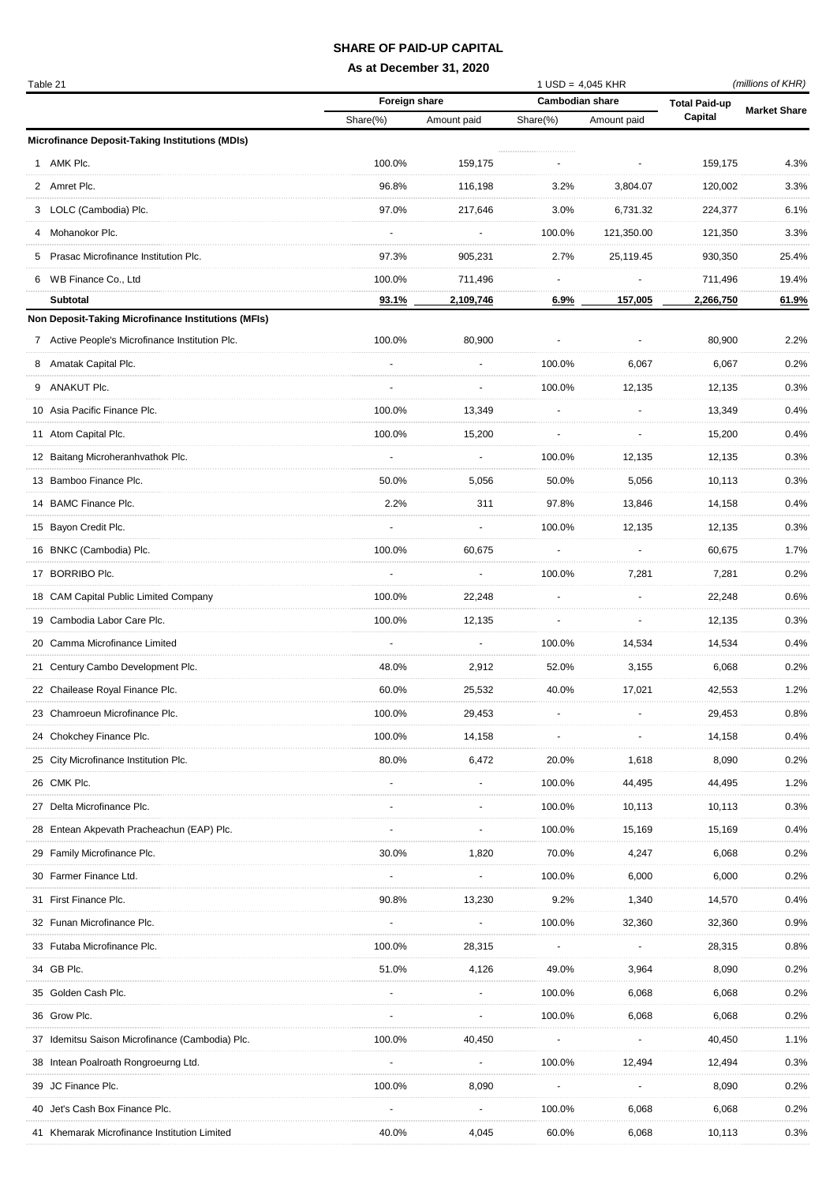## **SHARE OF PAID-UP CAPITAL**

## **As at December 31, 2020**

| Table 21 |                                                     |               |             |                        | $1$ USD = 4,045 KHR |                      | (millions of KHR)   |  |
|----------|-----------------------------------------------------|---------------|-------------|------------------------|---------------------|----------------------|---------------------|--|
|          |                                                     | Foreign share |             | <b>Cambodian share</b> |                     | <b>Total Paid-up</b> | <b>Market Share</b> |  |
|          |                                                     | Share(%)      | Amount paid | $Share(% \theta)$      | Amount paid         | Capital              |                     |  |
|          | Microfinance Deposit-Taking Institutions (MDIs)     |               |             |                        |                     |                      |                     |  |
|          | 1 AMK Plc.                                          | 100.0%        | 159,175     |                        |                     | 159,175              | 4.3%                |  |
|          | 2 Amret Plc.                                        | 96.8%         | 116,198     | 3.2%                   | 3,804.07            | 120,002              | 3.3%                |  |
|          | 3 LOLC (Cambodia) Plc.                              | 97.0%         | 217,646     | 3.0%                   | 6,731.32            | 224,377              | 6.1%                |  |
|          | 4 Mohanokor Plc.                                    |               |             | 100.0%                 | 121,350.00          | 121,350              | 3.3%                |  |
|          | 5 Prasac Microfinance Institution Plc.              | 97.3%         | 905,231     | 2.7%                   | 25,119.45           | 930,350              | 25.4%               |  |
|          | 6 WB Finance Co., Ltd                               | 100.0%        | 711,496     |                        |                     | 711,496              | 19.4%               |  |
|          | <b>Subtotal</b>                                     | 93.1%         | 2,109,746   | 6.9%                   | 157,005             | 2,266,750            | 61.9%               |  |
|          | Non Deposit-Taking Microfinance Institutions (MFIs) |               |             |                        |                     |                      |                     |  |
|          | 7 Active People's Microfinance Institution Plc.     | 100.0%        | 80,900      |                        |                     | 80,900               | 2.2%                |  |
|          | 8 Amatak Capital Plc.                               |               |             | 100.0%                 | 6,067               | 6,067                | 0.2%                |  |
|          | 9 ANAKUT Plc.                                       |               |             | 100.0%                 | 12,135              | 12,135               | 0.3%                |  |
|          | 10 Asia Pacific Finance Plc.                        | 100.0%        | 13,349      |                        |                     | 13,349               | 0.4%                |  |
|          | 11 Atom Capital Plc.                                | 100.0%        | 15,200      |                        |                     | 15,200               | 0.4%                |  |
|          | 12 Baitang Microheranhvathok Plc.                   |               |             | 100.0%                 | 12,135              | 12,135               | 0.3%                |  |
|          | 13 Bamboo Finance Plc.                              | 50.0%         | 5,056       | 50.0%                  | 5,056               | 10,113               | 0.3%                |  |
|          | 14 BAMC Finance Plc.                                | 2.2%          | 311         | 97.8%                  | 13,846              | 14,158               | 0.4%                |  |
|          | 15 Bayon Credit Plc.                                |               |             | 100.0%                 | 12,135              | 12,135               | 0.3%                |  |
|          | 16 BNKC (Cambodia) Plc.                             | 100.0%        | 60,675      |                        |                     | 60,675               | 1.7%                |  |
|          | 17 BORRIBO Plc.                                     |               |             | 100.0%                 | 7,281               | 7,281                | 0.2%                |  |
|          | 18 CAM Capital Public Limited Company               | 100.0%        | 22,248      |                        |                     | 22,248               | 0.6%                |  |
|          | 19 Cambodia Labor Care Plc.                         | 100.0%        | 12,135      |                        |                     | 12,135               | 0.3%                |  |
|          | 20 Camma Microfinance Limited                       |               |             | 100.0%                 |                     |                      | 0.4%                |  |
|          |                                                     |               |             |                        | 14,534              | 14,534               |                     |  |
|          | 21 Century Cambo Development Plc.                   | 48.0%         | 2,912       | 52.0%                  | 3,155               | 6,068                | 0.2%                |  |
|          | 22 Chailease Royal Finance Plc.                     | 60.0%         | 25,532      | 40.0%                  | 17,021              | 42,553               | 1.2%                |  |
|          | 23 Chamroeun Microfinance Plc.                      | 100.0%        | 29,453      |                        |                     | 29,453               | 0.8%                |  |
|          | 24 Chokchey Finance Plc.                            | 100.0%        | 14,158      |                        |                     | 14,158               | 0.4%                |  |
|          | 25 City Microfinance Institution Plc.               | 80.0%         | 6,472       | 20.0%                  | 1,618               | 8,090                | 0.2%                |  |
|          | 26 CMK Plc.                                         |               |             | 100.0%                 | 44,495              | 44,495               | 1.2%                |  |
|          | 27 Delta Microfinance Plc.                          |               |             | 100.0%                 | 10,113              | 10,113               | 0.3%                |  |
|          | 28 Entean Akpevath Pracheachun (EAP) Plc.           |               |             | 100.0%                 | 15,169              | 15,169               | 0.4%                |  |
|          | 29 Family Microfinance Plc.                         | 30.0%         | 1,820       | 70.0%                  | 4,247               | 6,068                | 0.2%                |  |
|          | 30 Farmer Finance Ltd.                              |               |             | 100.0%                 | 6,000               | 6,000                | 0.2%                |  |
|          | 31 First Finance Plc.                               | 90.8%         | 13,230      | 9.2%                   | 1,340               | 14,570               | 0.4%                |  |
|          | 32 Funan Microfinance Plc.                          |               |             | 100.0%                 | 32,360              | 32,360               | 0.9%                |  |
|          | 33 Futaba Microfinance Plc.                         | 100.0%        | 28,315      |                        |                     | 28,315               | 0.8%                |  |
|          | 34 GB Plc.                                          | 51.0%         | 4,126       | 49.0%                  | 3,964               | 8,090                | 0.2%                |  |
|          | 35 Golden Cash Plc.                                 |               |             | 100.0%                 | 6,068               | 6,068                | 0.2%                |  |
|          | 36 Grow Plc.                                        |               |             | 100.0%                 | 6,068               | 6,068                | 0.2%                |  |
|          | 37 Idemitsu Saison Microfinance (Cambodia) Plc.     | 100.0%        | 40,450      |                        |                     | 40,450               | 1.1%                |  |
|          | 38 Intean Poalroath Rongroeurng Ltd.                |               |             | 100.0%                 | 12,494              | 12,494               | 0.3%                |  |
|          | 39 JC Finance Plc.                                  | 100.0%        | 8,090       |                        |                     | 8,090                | 0.2%                |  |
|          | 40 Jet's Cash Box Finance Plc.                      |               |             | 100.0%                 | 6,068               | 6,068                | 0.2%                |  |
|          | 41 Khemarak Microfinance Institution Limited        | 40.0%         | 4,045       | 60.0%                  | 6,068               | 10,113               | 0.3%                |  |
|          |                                                     |               |             |                        |                     |                      |                     |  |